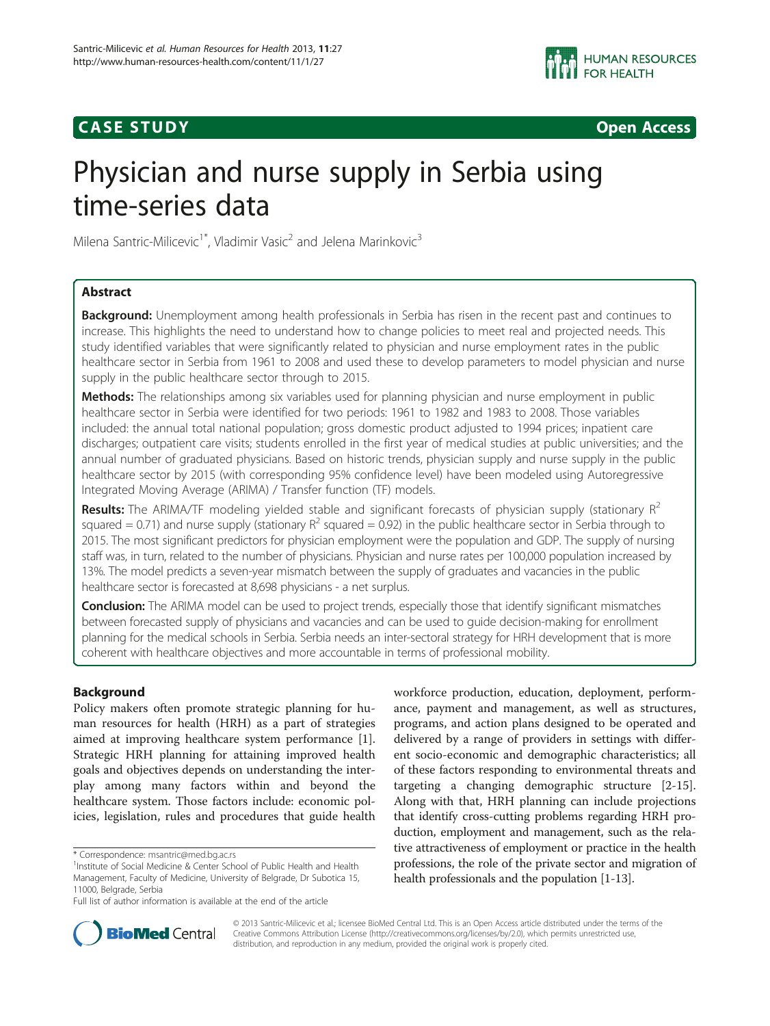# **CASE STUDY CASE STUDY Open Access**



# Physician and nurse supply in Serbia using time-series data

Milena Santric-Milicevic<sup>1\*</sup>, Vladimir Vasic<sup>2</sup> and Jelena Marinkovic<sup>3</sup>

# Abstract

Background: Unemployment among health professionals in Serbia has risen in the recent past and continues to increase. This highlights the need to understand how to change policies to meet real and projected needs. This study identified variables that were significantly related to physician and nurse employment rates in the public healthcare sector in Serbia from 1961 to 2008 and used these to develop parameters to model physician and nurse supply in the public healthcare sector through to 2015.

Methods: The relationships among six variables used for planning physician and nurse employment in public healthcare sector in Serbia were identified for two periods: 1961 to 1982 and 1983 to 2008. Those variables included: the annual total national population; gross domestic product adjusted to 1994 prices; inpatient care discharges; outpatient care visits; students enrolled in the first year of medical studies at public universities; and the annual number of graduated physicians. Based on historic trends, physician supply and nurse supply in the public healthcare sector by 2015 (with corresponding 95% confidence level) have been modeled using Autoregressive Integrated Moving Average (ARIMA) / Transfer function (TF) models.

**Results:** The ARIMA/TF modeling yielded stable and significant forecasts of physician supply (stationary  $R^2$ squared = 0.71) and nurse supply (stationary  $R^2$  squared = 0.92) in the public healthcare sector in Serbia through to 2015. The most significant predictors for physician employment were the population and GDP. The supply of nursing staff was, in turn, related to the number of physicians. Physician and nurse rates per 100,000 population increased by 13%. The model predicts a seven-year mismatch between the supply of graduates and vacancies in the public healthcare sector is forecasted at 8,698 physicians - a net surplus.

**Conclusion:** The ARIMA model can be used to project trends, especially those that identify significant mismatches between forecasted supply of physicians and vacancies and can be used to guide decision-making for enrollment planning for the medical schools in Serbia. Serbia needs an inter-sectoral strategy for HRH development that is more coherent with healthcare objectives and more accountable in terms of professional mobility.

# Background

Policy makers often promote strategic planning for human resources for health (HRH) as a part of strategies aimed at improving healthcare system performance [\[1](#page-9-0)]. Strategic HRH planning for attaining improved health goals and objectives depends on understanding the interplay among many factors within and beyond the healthcare system. Those factors include: economic policies, legislation, rules and procedures that guide health

workforce production, education, deployment, performance, payment and management, as well as structures, programs, and action plans designed to be operated and delivered by a range of providers in settings with different socio-economic and demographic characteristics; all of these factors responding to environmental threats and targeting a changing demographic structure [[2](#page-9-0)[-15](#page-10-0)]. Along with that, HRH planning can include projections that identify cross-cutting problems regarding HRH production, employment and management, such as the relative attractiveness of employment or practice in the health professions, the role of the private sector and migration of health professionals and the population [[1-](#page-9-0)[13\]](#page-10-0).



© 2013 Santric-Milicevic et al.; licensee BioMed Central Ltd. This is an Open Access article distributed under the terms of the Creative Commons Attribution License (<http://creativecommons.org/licenses/by/2.0>), which permits unrestricted use, distribution, and reproduction in any medium, provided the original work is properly cited.

<sup>\*</sup> Correspondence: [msantric@med.bg.ac.rs](mailto:msantric@med.bg.ac.rs) <sup>1</sup>

<sup>&</sup>lt;sup>1</sup>Institute of Social Medicine & Center School of Public Health and Health Management, Faculty of Medicine, University of Belgrade, Dr Subotica 15, 11000, Belgrade, Serbia

Full list of author information is available at the end of the article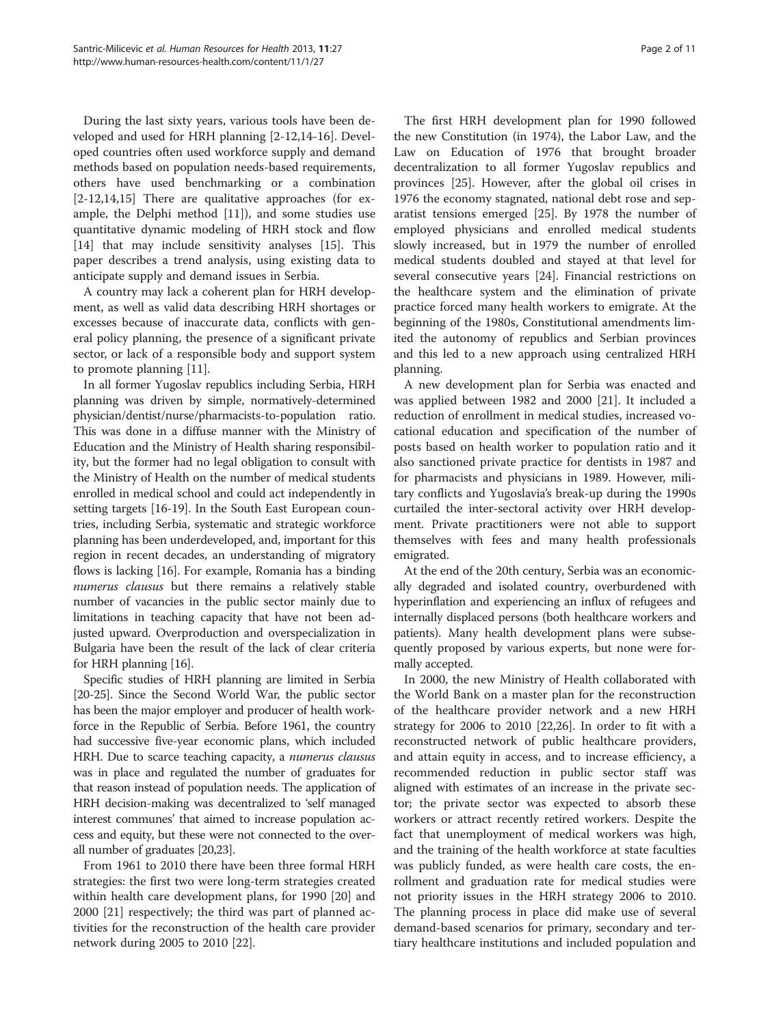During the last sixty years, various tools have been developed and used for HRH planning [[2](#page-9-0)[-12,14](#page-10-0)-[16\]](#page-10-0). Developed countries often used workforce supply and demand methods based on population needs-based requirements, others have used benchmarking or a combination [[2](#page-9-0)[-12,14,15](#page-10-0)] There are qualitative approaches (for example, the Delphi method [\[11\]](#page-10-0)), and some studies use quantitative dynamic modeling of HRH stock and flow [[14\]](#page-10-0) that may include sensitivity analyses [[15\]](#page-10-0). This paper describes a trend analysis, using existing data to anticipate supply and demand issues in Serbia.

A country may lack a coherent plan for HRH development, as well as valid data describing HRH shortages or excesses because of inaccurate data, conflicts with general policy planning, the presence of a significant private sector, or lack of a responsible body and support system to promote planning [[11](#page-10-0)].

In all former Yugoslav republics including Serbia, HRH planning was driven by simple, normatively-determined physician/dentist/nurse/pharmacists-to-population ratio. This was done in a diffuse manner with the Ministry of Education and the Ministry of Health sharing responsibility, but the former had no legal obligation to consult with the Ministry of Health on the number of medical students enrolled in medical school and could act independently in setting targets [[16](#page-10-0)-[19](#page-10-0)]. In the South East European countries, including Serbia, systematic and strategic workforce planning has been underdeveloped, and, important for this region in recent decades, an understanding of migratory flows is lacking [\[16](#page-10-0)]. For example, Romania has a binding numerus clausus but there remains a relatively stable number of vacancies in the public sector mainly due to limitations in teaching capacity that have not been adjusted upward. Overproduction and overspecialization in Bulgaria have been the result of the lack of clear criteria for HRH planning [\[16\]](#page-10-0).

Specific studies of HRH planning are limited in Serbia [[20](#page-10-0)-[25](#page-10-0)]. Since the Second World War, the public sector has been the major employer and producer of health workforce in the Republic of Serbia. Before 1961, the country had successive five-year economic plans, which included HRH. Due to scarce teaching capacity, a numerus clausus was in place and regulated the number of graduates for that reason instead of population needs. The application of HRH decision-making was decentralized to 'self managed interest communes' that aimed to increase population access and equity, but these were not connected to the overall number of graduates [\[20,23\]](#page-10-0).

From 1961 to 2010 there have been three formal HRH strategies: the first two were long-term strategies created within health care development plans, for 1990 [\[20\]](#page-10-0) and 2000 [[21\]](#page-10-0) respectively; the third was part of planned activities for the reconstruction of the health care provider network during 2005 to 2010 [[22](#page-10-0)].

The first HRH development plan for 1990 followed the new Constitution (in 1974), the Labor Law, and the Law on Education of 1976 that brought broader decentralization to all former Yugoslav republics and provinces [\[25\]](#page-10-0). However, after the global oil crises in 1976 the economy stagnated, national debt rose and separatist tensions emerged [\[25](#page-10-0)]. By 1978 the number of employed physicians and enrolled medical students slowly increased, but in 1979 the number of enrolled medical students doubled and stayed at that level for several consecutive years [\[24\]](#page-10-0). Financial restrictions on the healthcare system and the elimination of private practice forced many health workers to emigrate. At the beginning of the 1980s, Constitutional amendments limited the autonomy of republics and Serbian provinces and this led to a new approach using centralized HRH planning.

A new development plan for Serbia was enacted and was applied between 1982 and 2000 [\[21](#page-10-0)]. It included a reduction of enrollment in medical studies, increased vocational education and specification of the number of posts based on health worker to population ratio and it also sanctioned private practice for dentists in 1987 and for pharmacists and physicians in 1989. However, military conflicts and Yugoslavia's break-up during the 1990s curtailed the inter-sectoral activity over HRH development. Private practitioners were not able to support themselves with fees and many health professionals emigrated.

At the end of the 20th century, Serbia was an economically degraded and isolated country, overburdened with hyperinflation and experiencing an influx of refugees and internally displaced persons (both healthcare workers and patients). Many health development plans were subsequently proposed by various experts, but none were formally accepted.

In 2000, the new Ministry of Health collaborated with the World Bank on a master plan for the reconstruction of the healthcare provider network and a new HRH strategy for 2006 to 2010 [\[22,26\]](#page-10-0). In order to fit with a reconstructed network of public healthcare providers, and attain equity in access, and to increase efficiency, a recommended reduction in public sector staff was aligned with estimates of an increase in the private sector; the private sector was expected to absorb these workers or attract recently retired workers. Despite the fact that unemployment of medical workers was high, and the training of the health workforce at state faculties was publicly funded, as were health care costs, the enrollment and graduation rate for medical studies were not priority issues in the HRH strategy 2006 to 2010. The planning process in place did make use of several demand-based scenarios for primary, secondary and tertiary healthcare institutions and included population and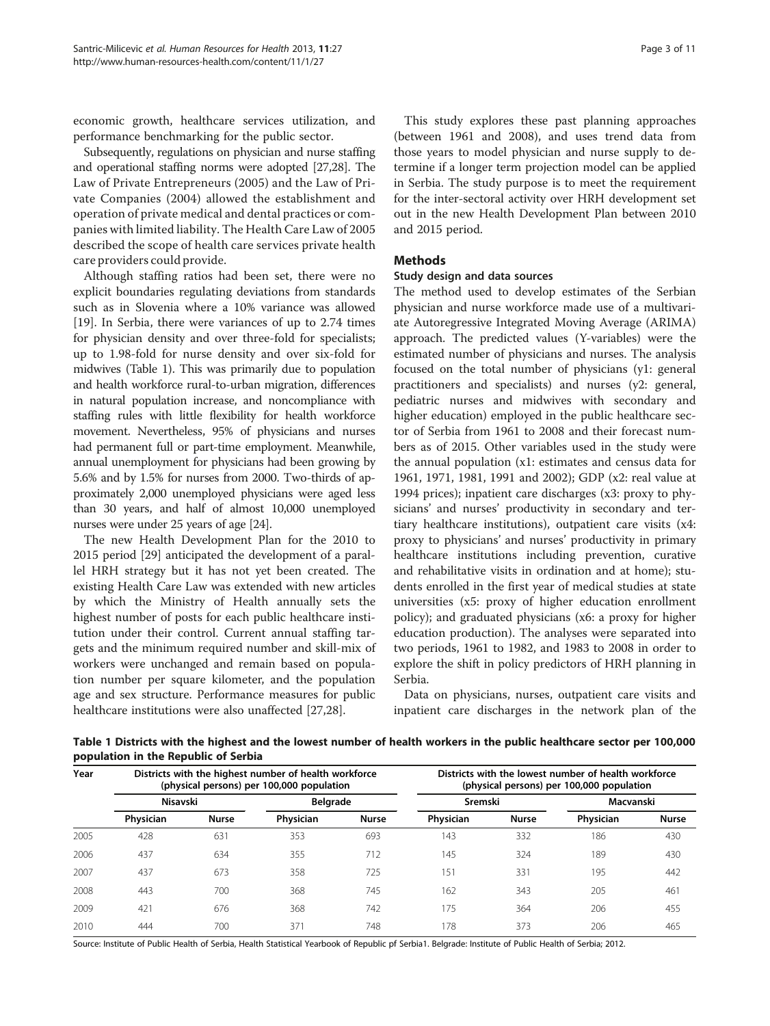economic growth, healthcare services utilization, and performance benchmarking for the public sector.

Subsequently, regulations on physician and nurse staffing and operational staffing norms were adopted [\[27,28](#page-10-0)]. The Law of Private Entrepreneurs (2005) and the Law of Private Companies (2004) allowed the establishment and operation of private medical and dental practices or companies with limited liability. The Health Care Law of 2005 described the scope of health care services private health care providers could provide.

Although staffing ratios had been set, there were no explicit boundaries regulating deviations from standards such as in Slovenia where a 10% variance was allowed [[19\]](#page-10-0). In Serbia, there were variances of up to 2.74 times for physician density and over three-fold for specialists; up to 1.98-fold for nurse density and over six-fold for midwives (Table 1). This was primarily due to population and health workforce rural-to-urban migration, differences in natural population increase, and noncompliance with staffing rules with little flexibility for health workforce movement. Nevertheless, 95% of physicians and nurses had permanent full or part-time employment. Meanwhile, annual unemployment for physicians had been growing by 5.6% and by 1.5% for nurses from 2000. Two-thirds of approximately 2,000 unemployed physicians were aged less than 30 years, and half of almost 10,000 unemployed nurses were under 25 years of age [\[24](#page-10-0)].

The new Health Development Plan for the 2010 to 2015 period [[29\]](#page-10-0) anticipated the development of a parallel HRH strategy but it has not yet been created. The existing Health Care Law was extended with new articles by which the Ministry of Health annually sets the highest number of posts for each public healthcare institution under their control. Current annual staffing targets and the minimum required number and skill-mix of workers were unchanged and remain based on population number per square kilometer, and the population age and sex structure. Performance measures for public healthcare institutions were also unaffected [\[27,28](#page-10-0)].

This study explores these past planning approaches (between 1961 and 2008), and uses trend data from those years to model physician and nurse supply to determine if a longer term projection model can be applied in Serbia. The study purpose is to meet the requirement for the inter-sectoral activity over HRH development set out in the new Health Development Plan between 2010 and 2015 period.

# Methods

#### Study design and data sources

The method used to develop estimates of the Serbian physician and nurse workforce made use of a multivariate Autoregressive Integrated Moving Average (ARIMA) approach. The predicted values (Y-variables) were the estimated number of physicians and nurses. The analysis focused on the total number of physicians (y1: general practitioners and specialists) and nurses (y2: general, pediatric nurses and midwives with secondary and higher education) employed in the public healthcare sector of Serbia from 1961 to 2008 and their forecast numbers as of 2015. Other variables used in the study were the annual population (x1: estimates and census data for 1961, 1971, 1981, 1991 and 2002); GDP (x2: real value at 1994 prices); inpatient care discharges (x3: proxy to physicians' and nurses' productivity in secondary and tertiary healthcare institutions), outpatient care visits (x4: proxy to physicians' and nurses' productivity in primary healthcare institutions including prevention, curative and rehabilitative visits in ordination and at home); students enrolled in the first year of medical studies at state universities (x5: proxy of higher education enrollment policy); and graduated physicians (x6: a proxy for higher education production). The analyses were separated into two periods, 1961 to 1982, and 1983 to 2008 in order to explore the shift in policy predictors of HRH planning in Serbia.

Data on physicians, nurses, outpatient care visits and inpatient care discharges in the network plan of the

Table 1 Districts with the highest and the lowest number of health workers in the public healthcare sector per 100,000 population in the Republic of Serbia

| Year |           |              | Districts with the highest number of health workforce<br>(physical persons) per 100,000 population |              | Districts with the lowest number of health workforce<br>(physical persons) per 100,000 population |              |           |              |  |
|------|-----------|--------------|----------------------------------------------------------------------------------------------------|--------------|---------------------------------------------------------------------------------------------------|--------------|-----------|--------------|--|
|      | Nisavski  |              | <b>Belgrade</b>                                                                                    |              | Sremski                                                                                           |              | Macvanski |              |  |
|      | Physician | <b>Nurse</b> | Physician                                                                                          | <b>Nurse</b> | Physician                                                                                         | <b>Nurse</b> | Physician | <b>Nurse</b> |  |
| 2005 | 428       | 631          | 353                                                                                                | 693          | 143                                                                                               | 332          | 186       | 430          |  |
| 2006 | 437       | 634          | 355                                                                                                | 712          | 145                                                                                               | 324          | 189       | 430          |  |
| 2007 | 437       | 673          | 358                                                                                                | 725          | 151                                                                                               | 331          | 195       | 442          |  |
| 2008 | 443       | 700          | 368                                                                                                | 745          | 162                                                                                               | 343          | 205       | 461          |  |
| 2009 | 421       | 676          | 368                                                                                                | 742          | 175                                                                                               | 364          | 206       | 455          |  |
| 2010 | 444       | 700          | 371                                                                                                | 748          | 178                                                                                               | 373          | 206       | 465          |  |

Source: Institute of Public Health of Serbia, Health Statistical Yearbook of Republic pf Serbia1. Belgrade: Institute of Public Health of Serbia; 2012.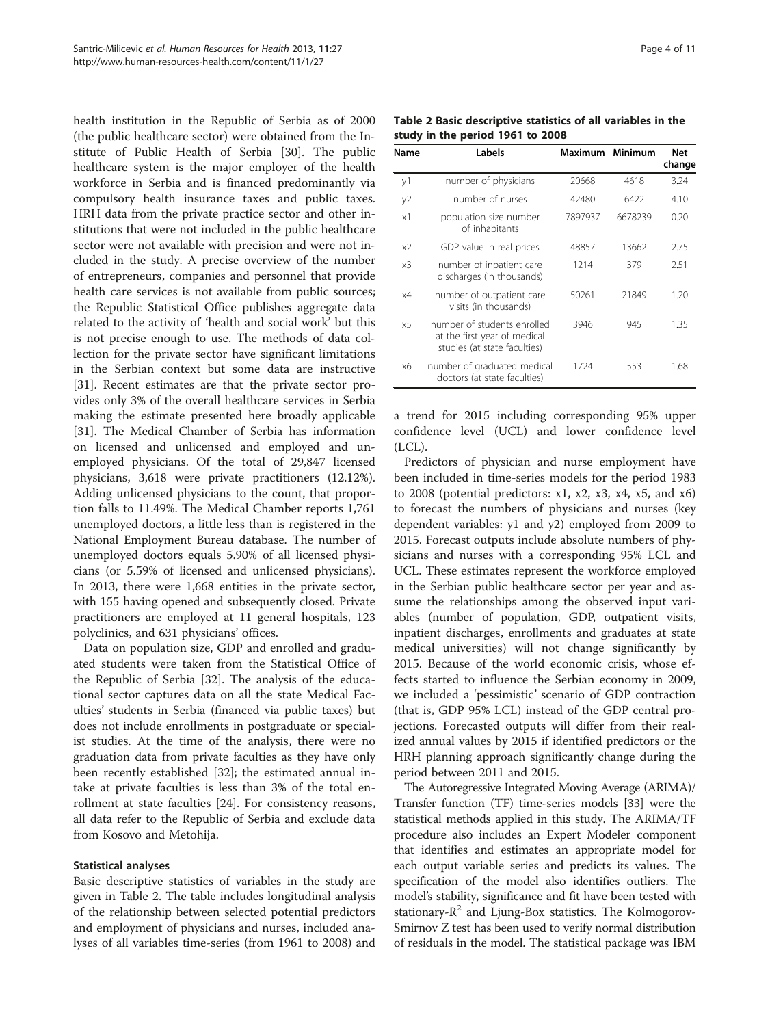health institution in the Republic of Serbia as of 2000 (the public healthcare sector) were obtained from the Institute of Public Health of Serbia [\[30](#page-10-0)]. The public healthcare system is the major employer of the health workforce in Serbia and is financed predominantly via compulsory health insurance taxes and public taxes. HRH data from the private practice sector and other institutions that were not included in the public healthcare sector were not available with precision and were not included in the study. A precise overview of the number of entrepreneurs, companies and personnel that provide health care services is not available from public sources; the Republic Statistical Office publishes aggregate data related to the activity of 'health and social work' but this is not precise enough to use. The methods of data collection for the private sector have significant limitations in the Serbian context but some data are instructive [[31\]](#page-10-0). Recent estimates are that the private sector provides only 3% of the overall healthcare services in Serbia making the estimate presented here broadly applicable [[31\]](#page-10-0). The Medical Chamber of Serbia has information on licensed and unlicensed and employed and unemployed physicians. Of the total of 29,847 licensed physicians, 3,618 were private practitioners (12.12%). Adding unlicensed physicians to the count, that proportion falls to 11.49%. The Medical Chamber reports 1,761 unemployed doctors, a little less than is registered in the National Employment Bureau database. The number of unemployed doctors equals 5.90% of all licensed physicians (or 5.59% of licensed and unlicensed physicians). In 2013, there were 1,668 entities in the private sector, with 155 having opened and subsequently closed. Private practitioners are employed at 11 general hospitals, 123 polyclinics, and 631 physicians' offices.

Data on population size, GDP and enrolled and graduated students were taken from the Statistical Office of the Republic of Serbia [[32](#page-10-0)]. The analysis of the educational sector captures data on all the state Medical Faculties' students in Serbia (financed via public taxes) but does not include enrollments in postgraduate or specialist studies. At the time of the analysis, there were no graduation data from private faculties as they have only been recently established [\[32](#page-10-0)]; the estimated annual intake at private faculties is less than 3% of the total enrollment at state faculties [\[24\]](#page-10-0). For consistency reasons, all data refer to the Republic of Serbia and exclude data from Kosovo and Metohija.

## Statistical analyses

Basic descriptive statistics of variables in the study are given in Table 2. The table includes longitudinal analysis of the relationship between selected potential predictors and employment of physicians and nurses, included analyses of all variables time-series (from 1961 to 2008) and

Table 2 Basic descriptive statistics of all variables in the study in the period 1961 to 2008

| Name           | Labels                                                                                      | <b>Maximum</b> | Minimum | <b>Net</b><br>change |
|----------------|---------------------------------------------------------------------------------------------|----------------|---------|----------------------|
| y1             | number of physicians                                                                        | 20668          | 4618    | 3.24                 |
| y2             | number of nurses                                                                            | 42480          | 6422    | 4.10                 |
| x1             | population size number<br>of inhabitants                                                    | 7897937        | 6678239 | 0.20                 |
| x2             | GDP value in real prices                                                                    | 48857          | 13662   | 2.75                 |
| x <sub>3</sub> | number of inpatient care<br>discharges (in thousands)                                       | 1214           | 379     | 2.51                 |
| x4             | number of outpatient care<br>visits (in thousands)                                          | 50261          | 21849   | 1.20                 |
| $\times$ 5     | number of students enrolled<br>at the first year of medical<br>studies (at state faculties) | 3946           | 945     | 1.35                 |
| х6             | number of graduated medical<br>doctors (at state faculties)                                 | 1724           | 553     | 1.68                 |

a trend for 2015 including corresponding 95% upper confidence level (UCL) and lower confidence level (LCL).

Predictors of physician and nurse employment have been included in time-series models for the period 1983 to 2008 (potential predictors: x1, x2, x3, x4, x5, and x6) to forecast the numbers of physicians and nurses (key dependent variables: y1 and y2) employed from 2009 to 2015. Forecast outputs include absolute numbers of physicians and nurses with a corresponding 95% LCL and UCL. These estimates represent the workforce employed in the Serbian public healthcare sector per year and assume the relationships among the observed input variables (number of population, GDP, outpatient visits, inpatient discharges, enrollments and graduates at state medical universities) will not change significantly by 2015. Because of the world economic crisis, whose effects started to influence the Serbian economy in 2009, we included a 'pessimistic' scenario of GDP contraction (that is, GDP 95% LCL) instead of the GDP central projections. Forecasted outputs will differ from their realized annual values by 2015 if identified predictors or the HRH planning approach significantly change during the period between 2011 and 2015.

The Autoregressive Integrated Moving Average (ARIMA)/ Transfer function (TF) time-series models [[33](#page-10-0)] were the statistical methods applied in this study. The ARIMA/TF procedure also includes an Expert Modeler component that identifies and estimates an appropriate model for each output variable series and predicts its values. The specification of the model also identifies outliers. The model's stability, significance and fit have been tested with stationary- $R^2$  and Ljung-Box statistics. The Kolmogorov-Smirnov Z test has been used to verify normal distribution of residuals in the model. The statistical package was IBM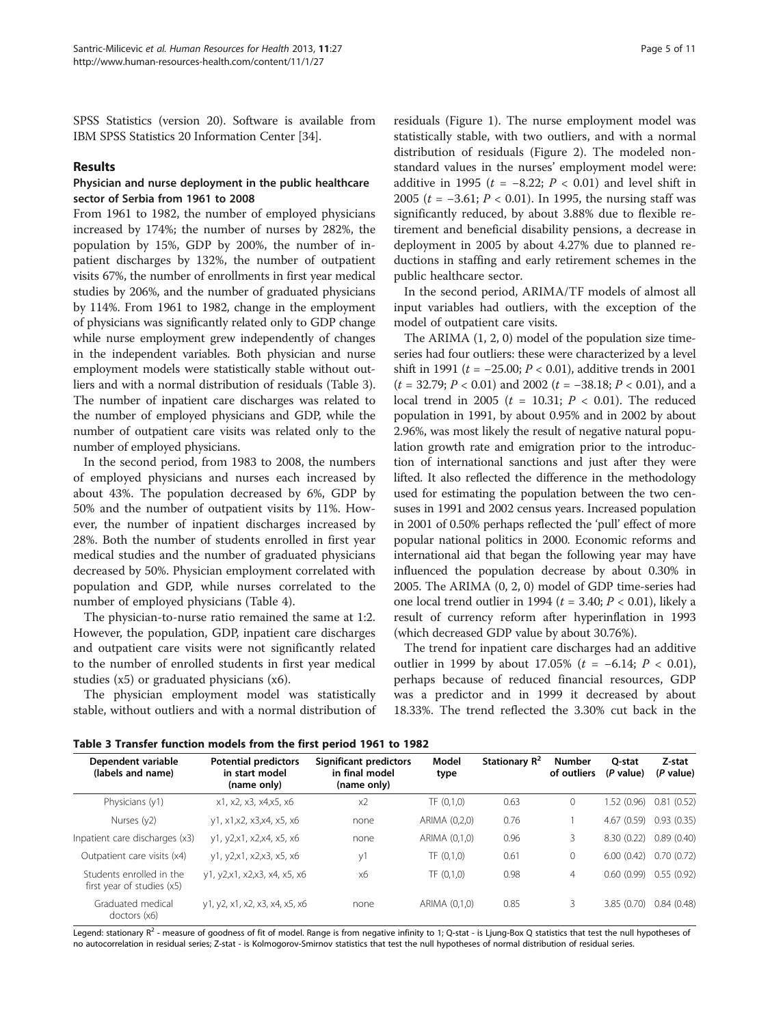SPSS Statistics (version 20). Software is available from IBM SPSS Statistics 20 Information Center [[34](#page-10-0)].

#### Results

# Physician and nurse deployment in the public healthcare sector of Serbia from 1961 to 2008

From 1961 to 1982, the number of employed physicians increased by 174%; the number of nurses by 282%, the population by 15%, GDP by 200%, the number of inpatient discharges by 132%, the number of outpatient visits 67%, the number of enrollments in first year medical studies by 206%, and the number of graduated physicians by 114%. From 1961 to 1982, change in the employment of physicians was significantly related only to GDP change while nurse employment grew independently of changes in the independent variables. Both physician and nurse employment models were statistically stable without outliers and with a normal distribution of residuals (Table 3). The number of inpatient care discharges was related to the number of employed physicians and GDP, while the number of outpatient care visits was related only to the number of employed physicians.

In the second period, from 1983 to 2008, the numbers of employed physicians and nurses each increased by about 43%. The population decreased by 6%, GDP by 50% and the number of outpatient visits by 11%. However, the number of inpatient discharges increased by 28%. Both the number of students enrolled in first year medical studies and the number of graduated physicians decreased by 50%. Physician employment correlated with population and GDP, while nurses correlated to the number of employed physicians (Table [4](#page-5-0)).

The physician-to-nurse ratio remained the same at 1:2. However, the population, GDP, inpatient care discharges and outpatient care visits were not significantly related to the number of enrolled students in first year medical studies (x5) or graduated physicians (x6).

The physician employment model was statistically stable, without outliers and with a normal distribution of

residuals (Figure [1](#page-5-0)). The nurse employment model was statistically stable, with two outliers, and with a normal distribution of residuals (Figure [2](#page-6-0)). The modeled nonstandard values in the nurses' employment model were: additive in 1995 ( $t = -8.22$ ;  $P < 0.01$ ) and level shift in 2005 (*t* = −3.61; *P* < 0.01). In 1995, the nursing staff was significantly reduced, by about 3.88% due to flexible retirement and beneficial disability pensions, a decrease in deployment in 2005 by about 4.27% due to planned reductions in staffing and early retirement schemes in the public healthcare sector.

In the second period, ARIMA/TF models of almost all input variables had outliers, with the exception of the model of outpatient care visits.

The ARIMA (1, 2, 0) model of the population size timeseries had four outliers: these were characterized by a level shift in 1991 ( $t = -25.00; P < 0.01$ ), additive trends in 2001  $(t = 32.79; P < 0.01)$  and  $2002 (t = -38.18; P < 0.01)$ , and a local trend in 2005 ( $t = 10.31$ ;  $P < 0.01$ ). The reduced population in 1991, by about 0.95% and in 2002 by about 2.96%, was most likely the result of negative natural population growth rate and emigration prior to the introduction of international sanctions and just after they were lifted. It also reflected the difference in the methodology used for estimating the population between the two censuses in 1991 and 2002 census years. Increased population in 2001 of 0.50% perhaps reflected the 'pull' effect of more popular national politics in 2000. Economic reforms and international aid that began the following year may have influenced the population decrease by about 0.30% in 2005. The ARIMA (0, 2, 0) model of GDP time-series had one local trend outlier in 1994 ( $t = 3.40; P < 0.01$ ), likely a result of currency reform after hyperinflation in 1993 (which decreased GDP value by about 30.76%).

The trend for inpatient care discharges had an additive outlier in 1999 by about 17.05% ( $t = -6.14$ ;  $P < 0.01$ ), perhaps because of reduced financial resources, GDP was a predictor and in 1999 it decreased by about 18.33%. The trend reflected the 3.30% cut back in the

Table 3 Transfer function models from the first period 1961 to 1982

| Dependent variable<br>(labels and name)                | <b>Potential predictors</b><br>in start model<br>(name only) | Significant predictors<br>in final model<br>(name only) | Model<br>type | Stationary R <sup>2</sup> | <b>Number</b><br>of outliers | O-stat<br>(P value) | Z-stat<br>(P value) |  |  |
|--------------------------------------------------------|--------------------------------------------------------------|---------------------------------------------------------|---------------|---------------------------|------------------------------|---------------------|---------------------|--|--|
| Physicians (y1)                                        | x1, x2, x3, x4, x5, x6                                       | x2                                                      | TF(0,1,0)     | 0.63                      | 0                            | 1.52(0.96)          | 0.81(0.52)          |  |  |
| Nurses (y2)                                            | y1, x1,x2, x3,x4, x5, x6                                     | none                                                    | ARIMA (0,2,0) | 0.76                      |                              | 4.67(0.59)          | 0.93(0.35)          |  |  |
| Inpatient care discharges (x3)                         | y1, y2,x1, x2,x4, x5, x6                                     | none                                                    | ARIMA (0,1,0) | 0.96                      | 3                            | 8.30 (0.22)         | 0.89(0.40)          |  |  |
| Outpatient care visits (x4)                            | y1, y2,x1, x2,x3, x5, x6                                     | y1                                                      | TF(0,1,0)     | 0.61                      | 0                            | 6.00(0.42)          | 0.70(0.72)          |  |  |
| Students enrolled in the<br>first year of studies (x5) | y1, y2,x1, x2,x3, x4, x5, x6                                 | х6                                                      | TF(0,1,0)     | 0.98                      | $\overline{4}$               | 0.60(0.99)          | 0.55(0.92)          |  |  |
| Graduated medical<br>doctors (x6)                      | y1, y2, x1, x2, x3, x4, x5, x6                               | none                                                    | ARIMA (0,1,0) | 0.85                      | 3                            | 3.85 (0.70)         | 0.84(0.48)          |  |  |

Legend: stationary R<sup>2</sup> - measure of goodness of fit of model. Range is from negative infinity to 1; Q-stat - is Ljung-Box Q statistics that test the null hypotheses of no autocorrelation in residual series; Z-stat - is Kolmogorov-Smirnov statistics that test the null hypotheses of normal distribution of residual series.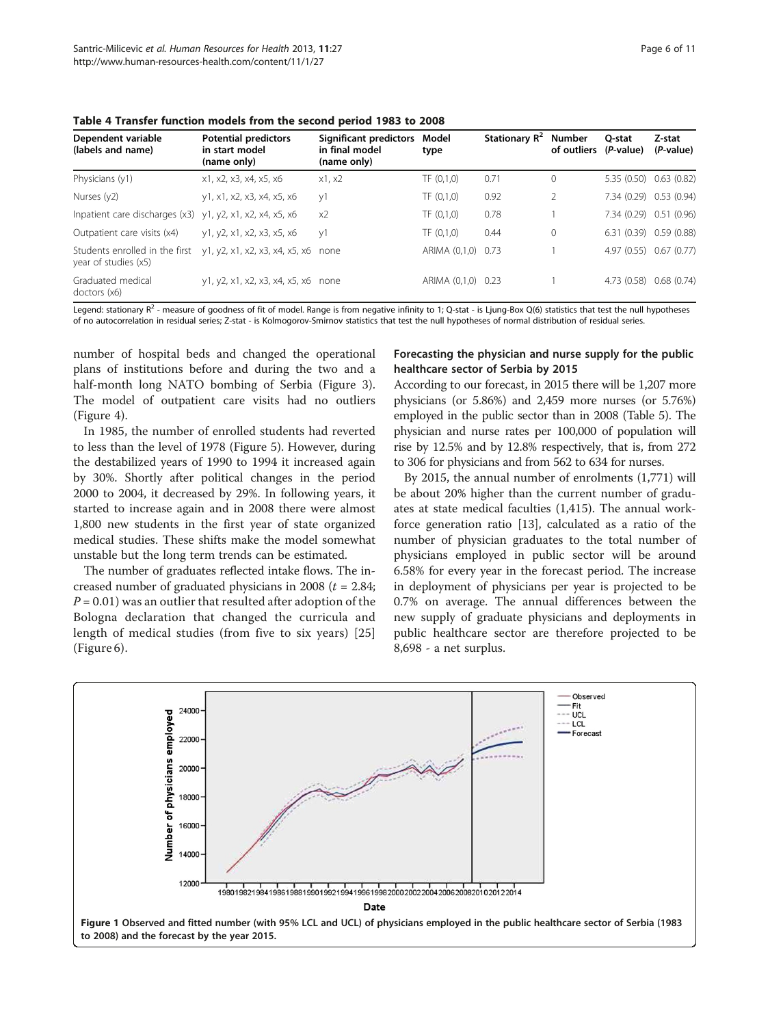<span id="page-5-0"></span>Table 4 Transfer function models from the second period 1983 to 2008

| Dependent variable<br>(labels and name)                     | <b>Potential predictors</b><br>in start model<br>(name only) | Significant predictors<br>in final model<br>(name only) | Model<br>type      | Stationary $R^2$ | Number<br>of outliers | O-stat<br>(P-value)     | Z-stat<br>(P-value) |
|-------------------------------------------------------------|--------------------------------------------------------------|---------------------------------------------------------|--------------------|------------------|-----------------------|-------------------------|---------------------|
| Physicians (y1)                                             | x1, x2, x3, x4, x5, x6                                       | x1, x2                                                  | TF(0,1,0)          | 0.71             | 0                     | 5.35 (0.50) 0.63 (0.82) |                     |
| Nurses (y2)                                                 | y1, x1, x2, x3, x4, x5, x6                                   | V <sup>1</sup>                                          | TF(0,1,0)          | 0.92             | 2                     | 7.34 (0.29) 0.53 (0.94) |                     |
| Inpatient care discharges $(x3)$ y1, y2, x1, x2, x4, x5, x6 |                                                              | x2                                                      | TF(0,1,0)          | 0.78             |                       | 7.34 (0.29) 0.51 (0.96) |                     |
| Outpatient care visits (x4)                                 | y1, y2, x1, x2, x3, x5, x6                                   | V <sup>1</sup>                                          | TF(0,1,0)          | 0.44             | 0                     | 6.31 (0.39) 0.59 (0.88) |                     |
| Students enrolled in the first<br>year of studies (x5)      | y1, y2, x1, x2, x3, x4, x5, x6 none                          |                                                         | ARIMA (0,1,0) 0.73 |                  |                       | 4.97 (0.55) 0.67 (0.77) |                     |
| Graduated medical<br>doctors (x6)                           | y1, y2, x1, x2, x3, x4, x5, x6 none                          |                                                         | ARIMA (0,1,0) 0.23 |                  |                       | 4.73(0.58)              | 0.68(0.74)          |

Legend: stationary R<sup>2</sup> - measure of goodness of fit of model. Range is from negative infinity to 1; Q-stat - is Ljung-Box Q(6) statistics that test the null hypotheses of no autocorrelation in residual series; Z-stat - is Kolmogorov-Smirnov statistics that test the null hypotheses of normal distribution of residual series.

number of hospital beds and changed the operational plans of institutions before and during the two and a half-month long NATO bombing of Serbia (Figure [3](#page-6-0)). The model of outpatient care visits had no outliers (Figure [4](#page-7-0)).

In 1985, the number of enrolled students had reverted to less than the level of 1978 (Figure [5](#page-7-0)). However, during the destabilized years of 1990 to 1994 it increased again by 30%. Shortly after political changes in the period 2000 to 2004, it decreased by 29%. In following years, it started to increase again and in 2008 there were almost 1,800 new students in the first year of state organized medical studies. These shifts make the model somewhat unstable but the long term trends can be estimated.

The number of graduates reflected intake flows. The increased number of graduated physicians in 2008 ( $t = 2.84$ ;  $P = 0.01$ ) was an outlier that resulted after adoption of the Bologna declaration that changed the curricula and length of medical studies (from five to six years) [\[25](#page-10-0)] (Figure [6](#page-8-0)).

# Forecasting the physician and nurse supply for the public healthcare sector of Serbia by 2015

According to our forecast, in 2015 there will be 1,207 more physicians (or 5.86%) and 2,459 more nurses (or 5.76%) employed in the public sector than in 2008 (Table [5](#page-8-0)). The physician and nurse rates per 100,000 of population will rise by 12.5% and by 12.8% respectively, that is, from 272 to 306 for physicians and from 562 to 634 for nurses.

By 2015, the annual number of enrolments (1,771) will be about 20% higher than the current number of graduates at state medical faculties (1,415). The annual workforce generation ratio [[13\]](#page-10-0), calculated as a ratio of the number of physician graduates to the total number of physicians employed in public sector will be around 6.58% for every year in the forecast period. The increase in deployment of physicians per year is projected to be 0.7% on average. The annual differences between the new supply of graduate physicians and deployments in public healthcare sector are therefore projected to be 8,698 - a net surplus.

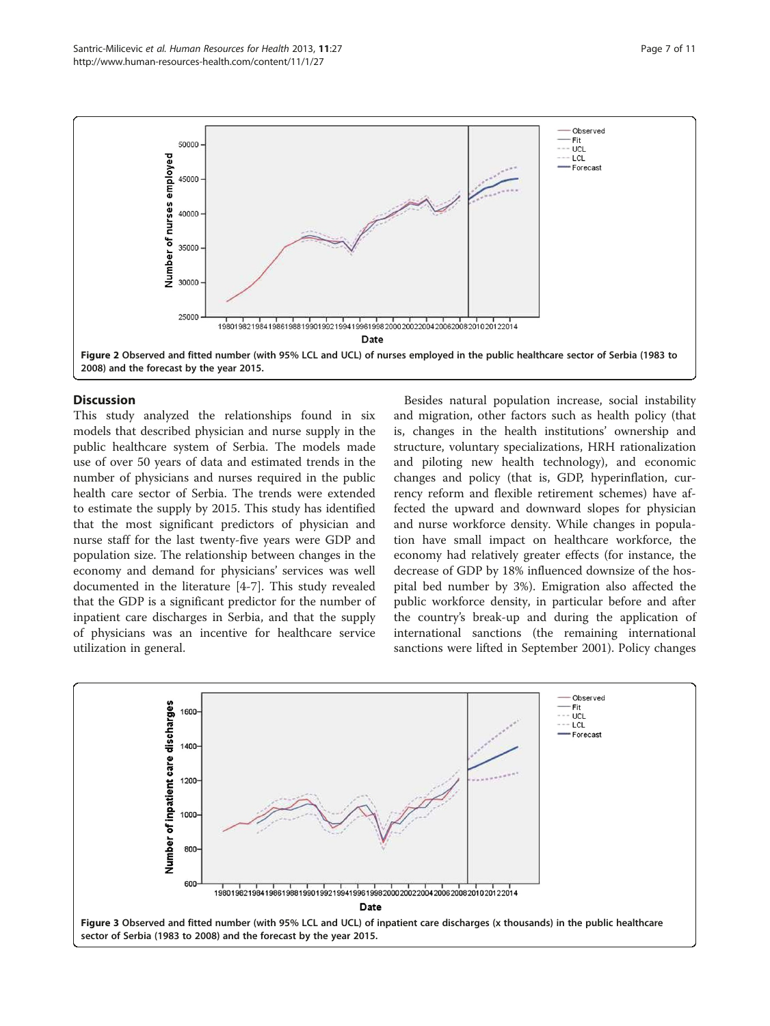<span id="page-6-0"></span>

# **Discussion**

This study analyzed the relationships found in six models that described physician and nurse supply in the public healthcare system of Serbia. The models made use of over 50 years of data and estimated trends in the number of physicians and nurses required in the public health care sector of Serbia. The trends were extended to estimate the supply by 2015. This study has identified that the most significant predictors of physician and nurse staff for the last twenty-five years were GDP and population size. The relationship between changes in the economy and demand for physicians' services was well documented in the literature [[4-7\]](#page-10-0). This study revealed that the GDP is a significant predictor for the number of inpatient care discharges in Serbia, and that the supply of physicians was an incentive for healthcare service utilization in general.

Besides natural population increase, social instability and migration, other factors such as health policy (that is, changes in the health institutions' ownership and structure, voluntary specializations, HRH rationalization and piloting new health technology), and economic changes and policy (that is, GDP, hyperinflation, currency reform and flexible retirement schemes) have affected the upward and downward slopes for physician and nurse workforce density. While changes in population have small impact on healthcare workforce, the economy had relatively greater effects (for instance, the decrease of GDP by 18% influenced downsize of the hospital bed number by 3%). Emigration also affected the public workforce density, in particular before and after the country's break-up and during the application of international sanctions (the remaining international sanctions were lifted in September 2001). Policy changes

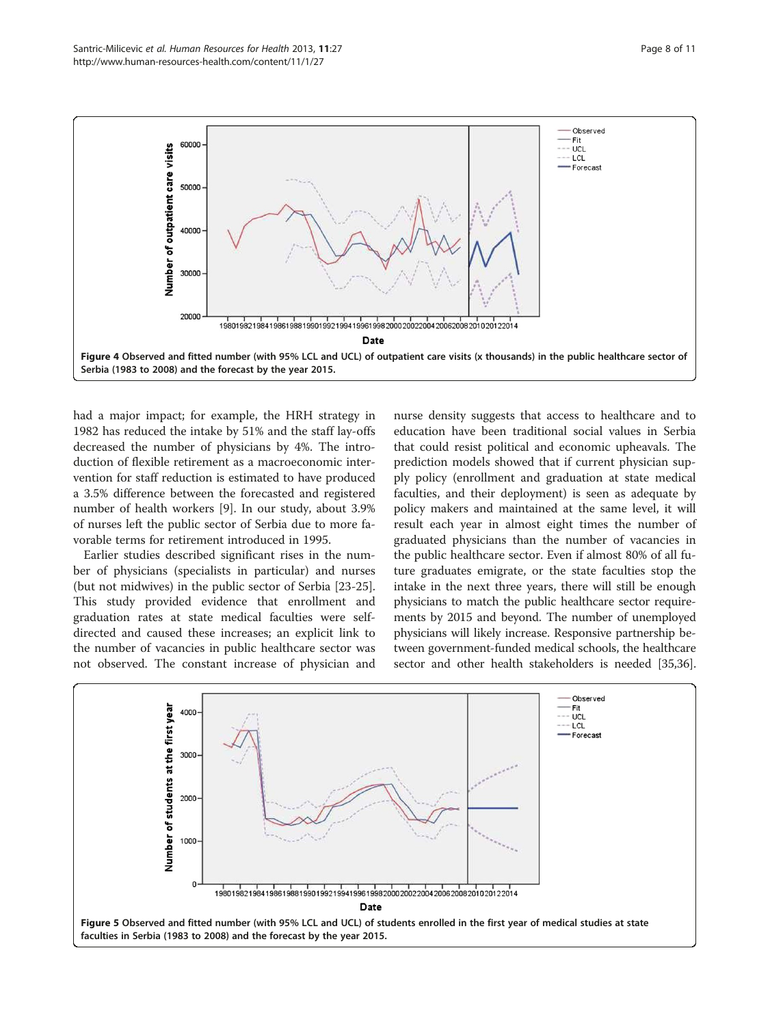<span id="page-7-0"></span>

had a major impact; for example, the HRH strategy in 1982 has reduced the intake by 51% and the staff lay-offs decreased the number of physicians by 4%. The introduction of flexible retirement as a macroeconomic intervention for staff reduction is estimated to have produced a 3.5% difference between the forecasted and registered number of health workers [[9\]](#page-10-0). In our study, about 3.9% of nurses left the public sector of Serbia due to more favorable terms for retirement introduced in 1995.

Earlier studies described significant rises in the number of physicians (specialists in particular) and nurses (but not midwives) in the public sector of Serbia [\[23-25](#page-10-0)]. This study provided evidence that enrollment and graduation rates at state medical faculties were selfdirected and caused these increases; an explicit link to the number of vacancies in public healthcare sector was not observed. The constant increase of physician and

nurse density suggests that access to healthcare and to education have been traditional social values in Serbia that could resist political and economic upheavals. The prediction models showed that if current physician supply policy (enrollment and graduation at state medical faculties, and their deployment) is seen as adequate by policy makers and maintained at the same level, it will result each year in almost eight times the number of graduated physicians than the number of vacancies in the public healthcare sector. Even if almost 80% of all future graduates emigrate, or the state faculties stop the intake in the next three years, there will still be enough physicians to match the public healthcare sector requirements by 2015 and beyond. The number of unemployed physicians will likely increase. Responsive partnership between government-funded medical schools, the healthcare sector and other health stakeholders is needed [\[35,36](#page-10-0)].

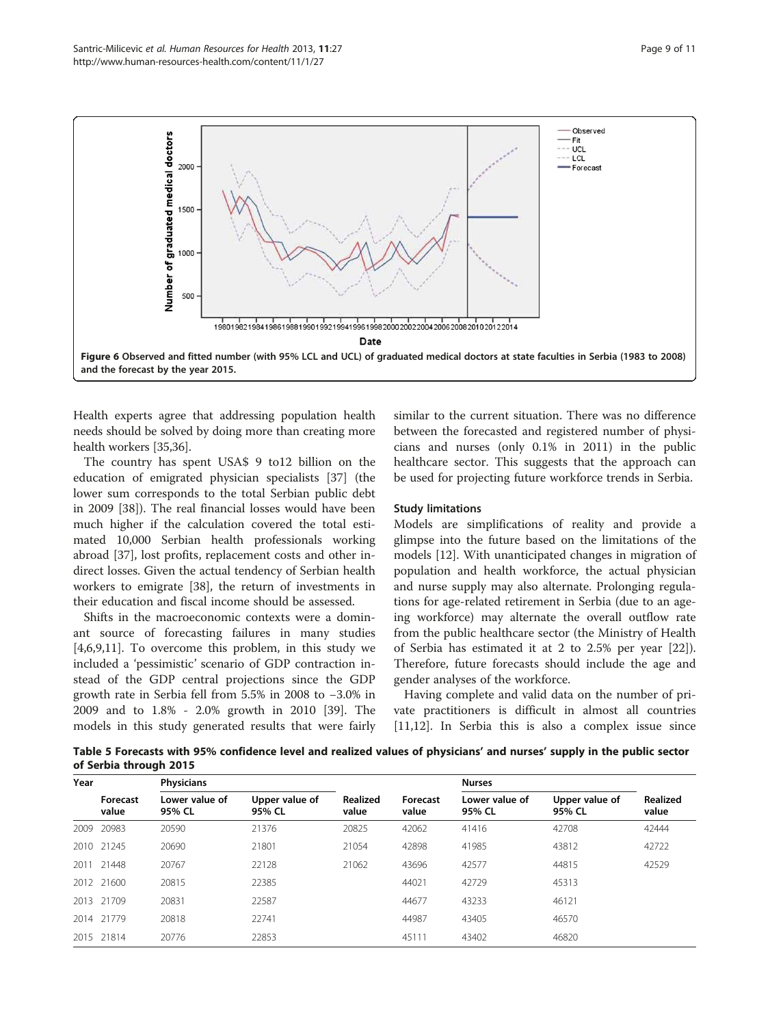<span id="page-8-0"></span>

Health experts agree that addressing population health needs should be solved by doing more than creating more health workers [\[35,36\]](#page-10-0).

The country has spent USA\$ 9 to12 billion on the education of emigrated physician specialists [[37\]](#page-10-0) (the lower sum corresponds to the total Serbian public debt in 2009 [[38\]](#page-10-0)). The real financial losses would have been much higher if the calculation covered the total estimated 10,000 Serbian health professionals working abroad [[37\]](#page-10-0), lost profits, replacement costs and other indirect losses. Given the actual tendency of Serbian health workers to emigrate [[38](#page-10-0)], the return of investments in their education and fiscal income should be assessed.

Shifts in the macroeconomic contexts were a dominant source of forecasting failures in many studies [[4,6,9,11\]](#page-10-0). To overcome this problem, in this study we included a 'pessimistic' scenario of GDP contraction instead of the GDP central projections since the GDP growth rate in Serbia fell from 5.5% in 2008 to −3.0% in 2009 and to 1.8% - 2.0% growth in 2010 [\[39](#page-10-0)]. The models in this study generated results that were fairly

similar to the current situation. There was no difference between the forecasted and registered number of physicians and nurses (only 0.1% in 2011) in the public healthcare sector. This suggests that the approach can be used for projecting future workforce trends in Serbia.

## Study limitations

Models are simplifications of reality and provide a glimpse into the future based on the limitations of the models [\[12\]](#page-10-0). With unanticipated changes in migration of population and health workforce, the actual physician and nurse supply may also alternate. Prolonging regulations for age-related retirement in Serbia (due to an ageing workforce) may alternate the overall outflow rate from the public healthcare sector (the Ministry of Health of Serbia has estimated it at 2 to 2.5% per year [\[22](#page-10-0)]). Therefore, future forecasts should include the age and gender analyses of the workforce.

Having complete and valid data on the number of private practitioners is difficult in almost all countries [[11,12\]](#page-10-0). In Serbia this is also a complex issue since

Table 5 Forecasts with 95% confidence level and realized values of physicians' and nurses' supply in the public sector of Serbia through 2015

| Year | <b>Physicians</b> |                          |                          |                          |                   | <b>Nurses</b>            |                          |                   |
|------|-------------------|--------------------------|--------------------------|--------------------------|-------------------|--------------------------|--------------------------|-------------------|
|      | Forecast<br>value | Lower value of<br>95% CL | Upper value of<br>95% CL | <b>Realized</b><br>value | Forecast<br>value | Lower value of<br>95% CL | Upper value of<br>95% CL | Realized<br>value |
| 2009 | 20983             | 20590                    | 21376                    | 20825                    | 42062             | 41416                    | 42708                    | 42444             |
| 2010 | 21245             | 20690                    | 21801                    | 21054                    | 42898             | 41985                    | 43812                    | 42722             |
| 2011 | 21448             | 20767                    | 22128                    | 21062                    | 43696             | 42577                    | 44815                    | 42529             |
| 2012 | 21600             | 20815                    | 22385                    |                          | 44021             | 42729                    | 45313                    |                   |
| 2013 | 21709             | 20831                    | 22587                    |                          | 44677             | 43233                    | 46121                    |                   |
|      | 2014 21779        | 20818                    | 22741                    |                          | 44987             | 43405                    | 46570                    |                   |
|      | 2015 21814        | 20776                    | 22853                    |                          | 45111             | 43402                    | 46820                    |                   |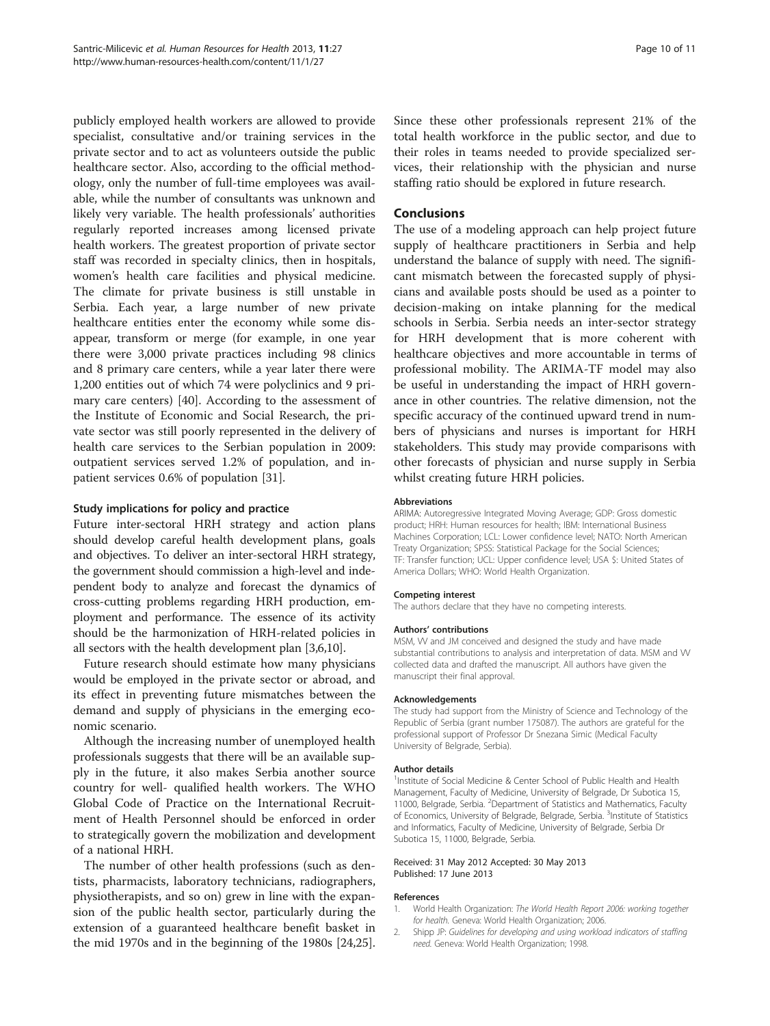<span id="page-9-0"></span>publicly employed health workers are allowed to provide specialist, consultative and/or training services in the private sector and to act as volunteers outside the public healthcare sector. Also, according to the official methodology, only the number of full-time employees was available, while the number of consultants was unknown and likely very variable. The health professionals' authorities regularly reported increases among licensed private health workers. The greatest proportion of private sector staff was recorded in specialty clinics, then in hospitals, women's health care facilities and physical medicine. The climate for private business is still unstable in Serbia. Each year, a large number of new private healthcare entities enter the economy while some disappear, transform or merge (for example, in one year there were 3,000 private practices including 98 clinics and 8 primary care centers, while a year later there were 1,200 entities out of which 74 were polyclinics and 9 primary care centers) [[40\]](#page-10-0). According to the assessment of the Institute of Economic and Social Research, the private sector was still poorly represented in the delivery of health care services to the Serbian population in 2009: outpatient services served 1.2% of population, and inpatient services 0.6% of population [[31](#page-10-0)].

## Study implications for policy and practice

Future inter-sectoral HRH strategy and action plans should develop careful health development plans, goals and objectives. To deliver an inter-sectoral HRH strategy, the government should commission a high-level and independent body to analyze and forecast the dynamics of cross-cutting problems regarding HRH production, employment and performance. The essence of its activity should be the harmonization of HRH-related policies in all sectors with the health development plan [\[3,6,10](#page-10-0)].

Future research should estimate how many physicians would be employed in the private sector or abroad, and its effect in preventing future mismatches between the demand and supply of physicians in the emerging economic scenario.

Although the increasing number of unemployed health professionals suggests that there will be an available supply in the future, it also makes Serbia another source country for well- qualified health workers. The WHO Global Code of Practice on the International Recruitment of Health Personnel should be enforced in order to strategically govern the mobilization and development of a national HRH.

The number of other health professions (such as dentists, pharmacists, laboratory technicians, radiographers, physiotherapists, and so on) grew in line with the expansion of the public health sector, particularly during the extension of a guaranteed healthcare benefit basket in the mid 1970s and in the beginning of the 1980s [\[24,25](#page-10-0)]. Since these other professionals represent 21% of the total health workforce in the public sector, and due to their roles in teams needed to provide specialized services, their relationship with the physician and nurse staffing ratio should be explored in future research.

#### Conclusions

The use of a modeling approach can help project future supply of healthcare practitioners in Serbia and help understand the balance of supply with need. The significant mismatch between the forecasted supply of physicians and available posts should be used as a pointer to decision-making on intake planning for the medical schools in Serbia. Serbia needs an inter-sector strategy for HRH development that is more coherent with healthcare objectives and more accountable in terms of professional mobility. The ARIMA-TF model may also be useful in understanding the impact of HRH governance in other countries. The relative dimension, not the specific accuracy of the continued upward trend in numbers of physicians and nurses is important for HRH stakeholders. This study may provide comparisons with other forecasts of physician and nurse supply in Serbia whilst creating future HRH policies.

#### Abbreviations

ARIMA: Autoregressive Integrated Moving Average; GDP: Gross domestic product; HRH: Human resources for health; IBM: International Business Machines Corporation; LCL: Lower confidence level; NATO: North American Treaty Organization; SPSS: Statistical Package for the Social Sciences; TF: Transfer function; UCL: Upper confidence level; USA \$: United States of America Dollars; WHO: World Health Organization.

#### Competing interest

The authors declare that they have no competing interests.

#### Authors' contributions

MSM, VV and JM conceived and designed the study and have made substantial contributions to analysis and interpretation of data. MSM and VV collected data and drafted the manuscript. All authors have given the manuscript their final approval.

#### Acknowledgements

The study had support from the Ministry of Science and Technology of the Republic of Serbia (grant number 175087). The authors are grateful for the professional support of Professor Dr Snezana Simic (Medical Faculty University of Belgrade, Serbia).

#### Author details

<sup>1</sup>Institute of Social Medicine & Center School of Public Health and Health Management, Faculty of Medicine, University of Belgrade, Dr Subotica 15, 11000, Belgrade, Serbia. <sup>2</sup>Department of Statistics and Mathematics, Faculty of Economics, University of Belgrade, Belgrade, Serbia. <sup>3</sup>Institute of Statistics and Informatics, Faculty of Medicine, University of Belgrade, Serbia Dr Subotica 15, 11000, Belgrade, Serbia.

#### Received: 31 May 2012 Accepted: 30 May 2013 Published: 17 June 2013

#### References

- 1. World Health Organization: The World Health Report 2006: working together for health. Geneva: World Health Organization; 2006.
- 2. Shipp JP: Guidelines for developing and using workload indicators of staffing need. Geneva: World Health Organization; 1998.